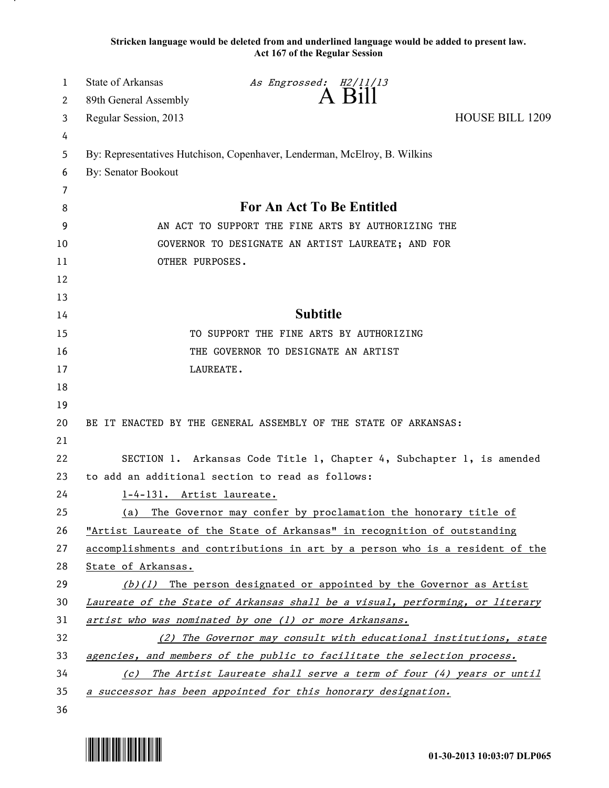**Stricken language would be deleted from and underlined language would be added to present law. Act 167 of the Regular Session**

| 1  | State of Arkansas                                                             | As Engrossed: H2/11/13                                                   |                        |  |
|----|-------------------------------------------------------------------------------|--------------------------------------------------------------------------|------------------------|--|
| 2  | 89th General Assembly                                                         | $A$ Bill                                                                 |                        |  |
| 3  | Regular Session, 2013                                                         |                                                                          | <b>HOUSE BILL 1209</b> |  |
| 4  |                                                                               |                                                                          |                        |  |
| 5  | By: Representatives Hutchison, Copenhaver, Lenderman, McElroy, B. Wilkins     |                                                                          |                        |  |
| 6  | By: Senator Bookout                                                           |                                                                          |                        |  |
| 7  |                                                                               |                                                                          |                        |  |
| 8  | <b>For An Act To Be Entitled</b>                                              |                                                                          |                        |  |
| 9  | AN ACT TO SUPPORT THE FINE ARTS BY AUTHORIZING THE                            |                                                                          |                        |  |
| 10 | GOVERNOR TO DESIGNATE AN ARTIST LAUREATE; AND FOR                             |                                                                          |                        |  |
| 11 | OTHER PURPOSES.                                                               |                                                                          |                        |  |
| 12 |                                                                               |                                                                          |                        |  |
| 13 |                                                                               |                                                                          |                        |  |
| 14 | <b>Subtitle</b>                                                               |                                                                          |                        |  |
| 15 | TO SUPPORT THE FINE ARTS BY AUTHORIZING                                       |                                                                          |                        |  |
| 16 | THE GOVERNOR TO DESIGNATE AN ARTIST                                           |                                                                          |                        |  |
| 17 |                                                                               | LAUREATE.                                                                |                        |  |
| 18 |                                                                               |                                                                          |                        |  |
| 19 |                                                                               |                                                                          |                        |  |
| 20 | BE IT ENACTED BY THE GENERAL ASSEMBLY OF THE STATE OF ARKANSAS:               |                                                                          |                        |  |
| 21 |                                                                               |                                                                          |                        |  |
| 22 | SECTION 1. Arkansas Code Title 1, Chapter 4, Subchapter 1, is amended         |                                                                          |                        |  |
| 23 | to add an additional section to read as follows:                              |                                                                          |                        |  |
| 24 | 1-4-131. Artist laureate.                                                     |                                                                          |                        |  |
| 25 |                                                                               | (a) The Governor may confer by proclamation the honorary title of        |                        |  |
| 26 |                                                                               | "Artist Laureate of the State of Arkansas" in recognition of outstanding |                        |  |
| 27 | accomplishments and contributions in art by a person who is a resident of the |                                                                          |                        |  |
| 28 | State of Arkansas.                                                            |                                                                          |                        |  |
| 29 | $(b)(1)$ The person designated or appointed by the Governor as Artist         |                                                                          |                        |  |
| 30 | Laureate of the State of Arkansas shall be a visual, performing, or literary  |                                                                          |                        |  |
| 31 | artist who was nominated by one (1) or more Arkansans.                        |                                                                          |                        |  |
| 32 | (2) The Governor may consult with educational institutions, state             |                                                                          |                        |  |
| 33 | agencies, and members of the public to facilitate the selection process.      |                                                                          |                        |  |
| 34 | (c) The Artist Laureate shall serve a term of four (4) years or until         |                                                                          |                        |  |
| 35 |                                                                               | a successor has been appointed for this honorary designation.            |                        |  |
| 36 |                                                                               |                                                                          |                        |  |